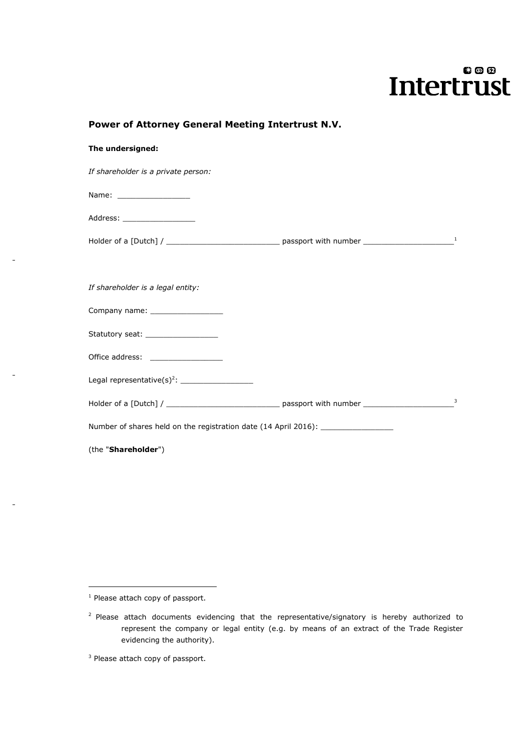# $00D$ **Intertrust**

| The undersigned:                                                                                     |  |    |
|------------------------------------------------------------------------------------------------------|--|----|
| If shareholder is a private person:                                                                  |  |    |
| Name: ___________________                                                                            |  |    |
| Address: ____________________                                                                        |  |    |
|                                                                                                      |  | -1 |
|                                                                                                      |  |    |
| If shareholder is a legal entity:                                                                    |  |    |
| Company name: ___________________                                                                    |  |    |
| Statutory seat: The control of the statutory seat:                                                   |  |    |
|                                                                                                      |  |    |
| Legal representative(s) <sup>2</sup> : $\frac{1}{2}$                                                 |  |    |
| Holder of a [Dutch] / __________________________________ passport with number ______________________ |  | 3  |
| Number of shares held on the registration date (14 April 2016): ________________                     |  |    |
| (the "Shareholder")                                                                                  |  |    |

**Power of Attorney General Meeting Intertrust N.V.**

1

 $1$  Please attach copy of passport.

 $2$  Please attach documents evidencing that the representative/signatory is hereby authorized to represent the company or legal entity (e.g. by means of an extract of the Trade Register evidencing the authority).

<sup>&</sup>lt;sup>3</sup> Please attach copy of passport.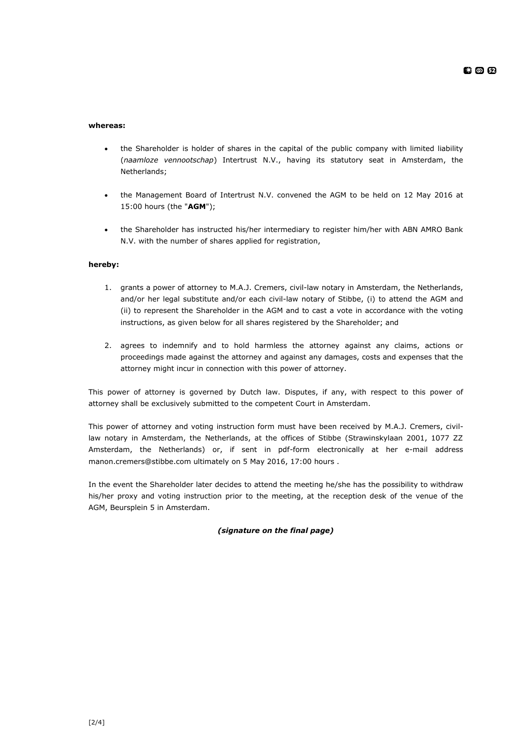#### **whereas:**

- the Shareholder is holder of shares in the capital of the public company with limited liability (*naamloze vennootschap*) Intertrust N.V., having its statutory seat in Amsterdam, the Netherlands;
- the Management Board of Intertrust N.V. convened the AGM to be held on 12 May 2016 at 15:00 hours (the "**AGM**");
- the Shareholder has instructed his/her intermediary to register him/her with ABN AMRO Bank N.V. with the number of shares applied for registration,

#### **hereby:**

- 1. grants a power of attorney to M.A.J. Cremers, civil-law notary in Amsterdam, the Netherlands, and/or her legal substitute and/or each civil-law notary of Stibbe, (i) to attend the AGM and (ii) to represent the Shareholder in the AGM and to cast a vote in accordance with the voting instructions, as given below for all shares registered by the Shareholder; and
- 2. agrees to indemnify and to hold harmless the attorney against any claims, actions or proceedings made against the attorney and against any damages, costs and expenses that the attorney might incur in connection with this power of attorney.

This power of attorney is governed by Dutch law. Disputes, if any, with respect to this power of attorney shall be exclusively submitted to the competent Court in Amsterdam.

This power of attorney and voting instruction form must have been received by M.A.J. Cremers, civillaw notary in Amsterdam, the Netherlands, at the offices of Stibbe (Strawinskylaan 2001, 1077 ZZ Amsterdam, the Netherlands) or, if sent in pdf-form electronically at her e-mail address manon.cremers@stibbe.com ultimately on 5 May 2016, 17:00 hours .

In the event the Shareholder later decides to attend the meeting he/she has the possibility to withdraw his/her proxy and voting instruction prior to the meeting, at the reception desk of the venue of the AGM, Beursplein 5 in Amsterdam.

#### *(signature on the final page)*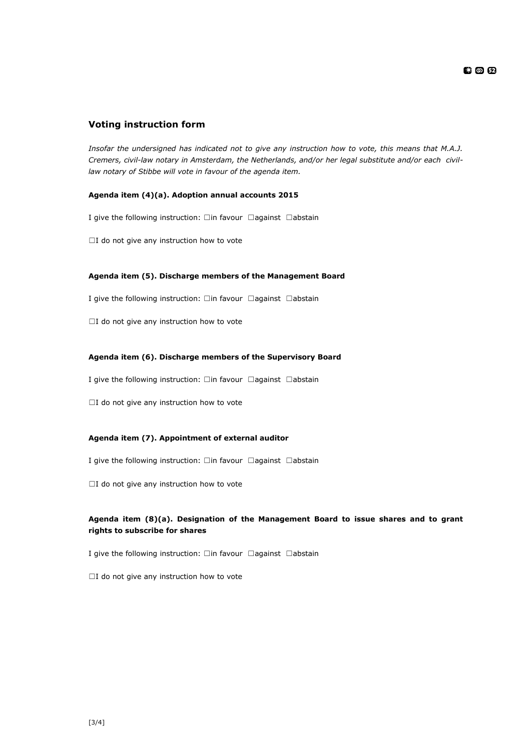## **Voting instruction form**

*Insofar the undersigned has indicated not to give any instruction how to vote, this means that M.A.J. Cremers, civil-law notary in Amsterdam, the Netherlands, and/or her legal substitute and/or each civillaw notary of Stibbe will vote in favour of the agenda item.*

#### **Agenda item (4)(a). Adoption annual accounts 2015**

I give the following instruction: □in favour □against □abstain

☐I do not give any instruction how to vote

#### **Agenda item (5). Discharge members of the Management Board**

I give the following instruction: □in favour □against □abstain

□I do not give any instruction how to vote

#### **Agenda item (6). Discharge members of the Supervisory Board**

I give the following instruction: □in favour □against □abstain

□I do not give any instruction how to vote

#### **Agenda item (7). Appointment of external auditor**

I give the following instruction: □in favour □against □abstain

□I do not give any instruction how to vote

### **Agenda item (8)(a). Designation of the Management Board to issue shares and to grant rights to subscribe for shares**

I give the following instruction: □in favour □against □abstain

□I do not give any instruction how to vote